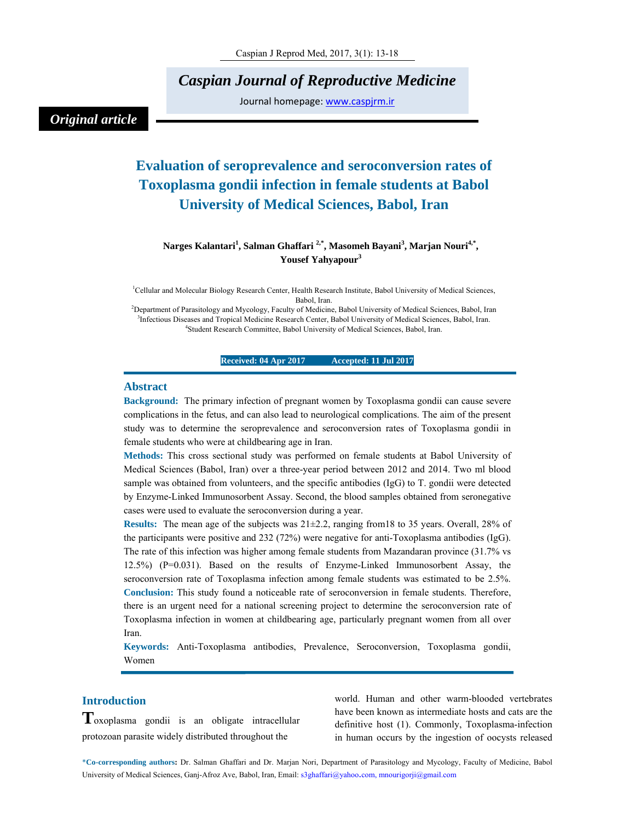*Caspian Journal of Reproductive Medicine* 

Journal homepage: www.caspjrm.ir

# *Original article*

# **Evaluation of seroprevalence and seroconversion rates of Toxoplasma gondii infection in female students at Babol University of Medical Sciences, Babol, Iran**

# **Narges Kalantari<sup>1</sup> , Salman Ghaffari 2,\*, Masomeh Bayani3 , Marjan Nouri4,\*, Yousef Yahyapour<sup>3</sup>**

<sup>1</sup>Cellular and Molecular Biology Research Center, Health Research Institute, Babol University of Medical Sciences, Babol, Iran.<br>Pepartment of Parasitology and Mycology, Faculty of Medicine, Babol University of Medical Sciences, Babol, Iran?

<sup>3</sup>Infectious Diseases and Tropical Medicine Research Center, Babol University of Medical Sciences, Babol, Iran. Student Research Committee, Babol University of Medical Sciences, Babol, Iran.

#### **Received: 04 Apr 2017 Accepted: 11 Jul 2017**

### **Abstract**

**Background:** The primary infection of pregnant women by Toxoplasma gondii can cause severe complications in the fetus, and can also lead to neurological complications. The aim of the present study was to determine the seroprevalence and seroconversion rates of Toxoplasma gondii in female students who were at childbearing age in Iran.

**Methods:** This cross sectional study was performed on female students at Babol University of Medical Sciences (Babol, Iran) over a three-year period between 2012 and 2014. Two ml blood sample was obtained from volunteers, and the specific antibodies (IgG) to T. gondii were detected by Enzyme-Linked Immunosorbent Assay. Second, the blood samples obtained from seronegative cases were used to evaluate the seroconversion during a year.

**Results:** The mean age of the subjects was 21±2.2, ranging from18 to 35 years. Overall, 28% of the participants were positive and 232 (72%) were negative for anti-Toxoplasma antibodies (IgG). The rate of this infection was higher among female students from Mazandaran province (31.7% vs 12.5%) (P=0.031). Based on the results of Enzyme-Linked Immunosorbent Assay, the seroconversion rate of Toxoplasma infection among female students was estimated to be 2.5%. **Conclusion:** This study found a noticeable rate of seroconversion in female students. Therefore, there is an urgent need for a national screening project to determine the seroconversion rate of Toxoplasma infection in women at childbearing age, particularly pregnant women from all over Iran.

**Keywords:** Anti-Toxoplasma antibodies, Prevalence, Seroconversion, Toxoplasma gondii, Women

# **Introduction**

**T**oxoplasma gondii is an obligate intracellular protozoan parasite widely distributed throughout the

world. Human and other warm-blooded vertebrates have been known as intermediate hosts and cats are the definitive host (1). Commonly, Toxoplasma-infection in human occurs by the ingestion of oocysts released

\***Co-corresponding authors:** Dr. Salman Ghaffari and Dr. Marjan Nori, Department of Parasitology and Mycology, Faculty of Medicine, Babol University of Medical Sciences, Ganj-Afroz Ave, Babol, Iran, Email: s3ghaffari@yahoo.com, mnourigorji@gmail.com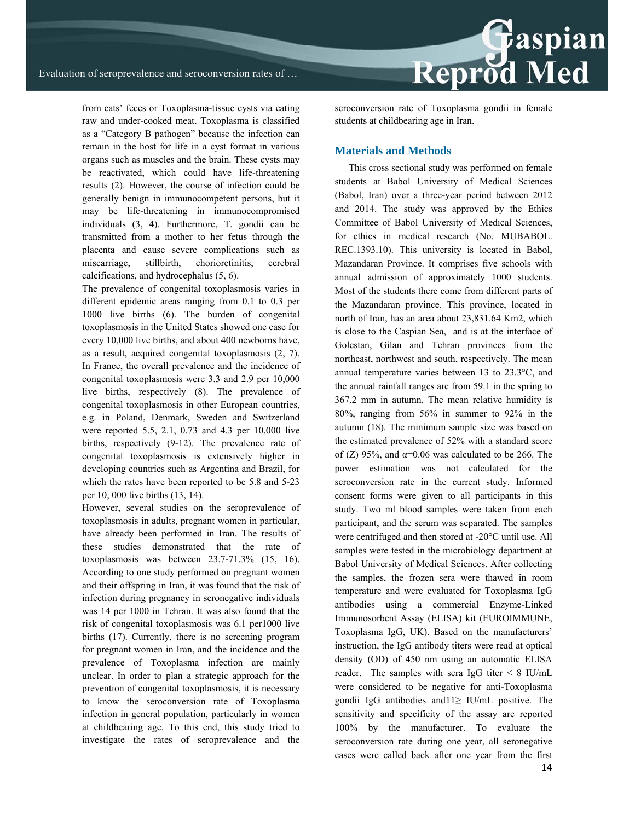from cats' feces or Toxoplasma-tissue cysts via eating raw and under-cooked meat. Toxoplasma is classified as a "Category B pathogen" because the infection can remain in the host for life in a cyst format in various organs such as muscles and the brain. These cysts may be reactivated, which could have life-threatening results (2). However, the course of infection could be generally benign in immunocompetent persons, but it may be life-threatening in immunocompromised individuals (3, 4). Furthermore, T. gondii can be transmitted from a mother to her fetus through the placenta and cause severe complications such as miscarriage, stillbirth, chorioretinitis, cerebral calcifications, and hydrocephalus (5, 6).

The prevalence of congenital toxoplasmosis varies in different epidemic areas ranging from 0.1 to 0.3 per 1000 live births (6). The burden of congenital toxoplasmosis in the United States showed one case for every 10,000 live births, and about 400 newborns have, as a result, acquired congenital toxoplasmosis (2, 7). In France, the overall prevalence and the incidence of congenital toxoplasmosis were 3.3 and 2.9 per 10,000 live births, respectively (8). The prevalence of congenital toxoplasmosis in other European countries, e.g. in Poland, Denmark, Sweden and Switzerland were reported 5.5, 2.1, 0.73 and 4.3 per 10,000 live births, respectively (9-12). The prevalence rate of congenital toxoplasmosis is extensively higher in developing countries such as Argentina and Brazil, for which the rates have been reported to be 5.8 and 5-23 per 10, 000 live births (13, 14).

However, several studies on the seroprevalence of toxoplasmosis in adults, pregnant women in particular, have already been performed in Iran. The results of these studies demonstrated that the rate of toxoplasmosis was between 23.7-71.3% (15, 16). According to one study performed on pregnant women and their offspring in Iran, it was found that the risk of infection during pregnancy in seronegative individuals was 14 per 1000 in Tehran. It was also found that the risk of congenital toxoplasmosis was 6.1 per1000 live births (17). Currently, there is no screening program for pregnant women in Iran, and the incidence and the prevalence of Toxoplasma infection are mainly unclear. In order to plan a strategic approach for the prevention of congenital toxoplasmosis, it is necessary to know the seroconversion rate of Toxoplasma infection in general population, particularly in women at childbearing age. To this end, this study tried to investigate the rates of seroprevalence and the

seroconversion rate of Toxoplasma gondii in female students at childbearing age in Iran.

#### **Materials and Methods**

This cross sectional study was performed on female students at Babol University of Medical Sciences (Babol, Iran) over a three-year period between 2012 and 2014. The study was approved by the Ethics Committee of Babol University of Medical Sciences, for ethics in medical research (No. MUBABOL. REC.1393.10). This university is located in Babol, Mazandaran Province. It comprises five schools with annual admission of approximately 1000 students. Most of the students there come from different parts of the Mazandaran province. This province, located in north of Iran, has an area about 23,831.64 Km2, which is close to the Caspian Sea, and is at the interface of Golestan, Gilan and Tehran provinces from the northeast, northwest and south, respectively. The mean annual temperature varies between 13 to 23.3°C, and the annual rainfall ranges are from 59.1 in the spring to 367.2 mm in autumn. The mean relative humidity is 80%, ranging from 56% in summer to 92% in the autumn (18). The minimum sample size was based on the estimated prevalence of 52% with a standard score of (Z) 95%, and  $\alpha$ =0.06 was calculated to be 266. The power estimation was not calculated for the seroconversion rate in the current study. Informed consent forms were given to all participants in this study. Two ml blood samples were taken from each participant, and the serum was separated. The samples were centrifuged and then stored at -20°C until use. All samples were tested in the microbiology department at Babol University of Medical Sciences. After collecting the samples, the frozen sera were thawed in room temperature and were evaluated for Toxoplasma IgG antibodies using a commercial Enzyme-Linked Immunosorbent Assay (ELISA) kit (EUROIMMUNE, Toxoplasma IgG, UK). Based on the manufacturers' instruction, the IgG antibody titers were read at optical density (OD) of 450 nm using an automatic ELISA reader. The samples with sera IgG titer < 8 IU/mL were considered to be negative for anti-Toxoplasma gondii IgG antibodies and11≥ IU/mL positive. The sensitivity and specificity of the assay are reported 100% by the manufacturer. To evaluate the seroconversion rate during one year, all seronegative cases were called back after one year from the first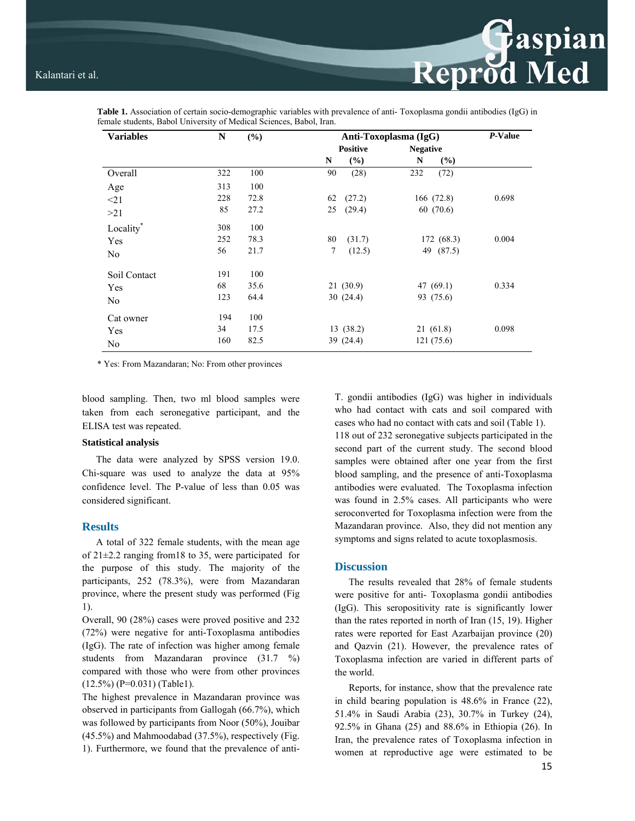| <b>Variables</b> | N   | (%)  | Anti-Toxoplasma (IgG) |           |                 |             | P-Value |
|------------------|-----|------|-----------------------|-----------|-----------------|-------------|---------|
|                  |     |      | <b>Positive</b>       |           | <b>Negative</b> |             |         |
|                  |     |      | N                     | (%)       | N               | (%)         |         |
| Overall          | 322 | 100  | 90                    | (28)      | 232             | (72)        |         |
| Age              | 313 | 100  |                       |           |                 |             |         |
| $\leq$ 21        | 228 | 72.8 | 62                    | (27.2)    |                 | 166 (72.8)  | 0.698   |
| >21              | 85  | 27.2 | 25                    | (29.4)    | 60(70.6)        |             |         |
| Locality*        | 308 | 100  |                       |           |                 |             |         |
| Yes              | 252 | 78.3 | 80                    | (31.7)    |                 | 172 (68.3)  | 0.004   |
| No               | 56  | 21.7 | $\tau$                | (12.5)    |                 | 49 (87.5)   |         |
| Soil Contact     | 191 | 100  |                       |           |                 |             |         |
| Yes              | 68  | 35.6 |                       | 21(30.9)  |                 | 47 $(69.1)$ | 0.334   |
| No.              | 123 | 64.4 |                       | 30(24.4)  |                 | 93 (75.6)   |         |
| Cat owner        | 194 | 100  |                       |           |                 |             |         |
| Yes              | 34  | 17.5 |                       | 13(38.2)  |                 | 21(61.8)    | 0.098   |
| No               | 160 | 82.5 |                       | 39 (24.4) |                 | 121(75.6)   |         |

**Table 1.** Association of certain socio-demographic variables with prevalence of anti- Toxoplasma gondii antibodies (IgG) in female students, Babol University of Medical Sciences, Babol, Iran.

\* Yes: From Mazandaran; No: From other provinces

blood sampling. Then, two ml blood samples were taken from each seronegative participant, and the ELISA test was repeated.

#### **Statistical analysis**

The data were analyzed by SPSS version 19.0. Chi-square was used to analyze the data at 95% confidence level. The P-value of less than 0.05 was considered significant.

#### **Results**

A total of 322 female students, with the mean age of 21±2.2 ranging from18 to 35, were participated for the purpose of this study. The majority of the participants, 252 (78.3%), were from Mazandaran province, where the present study was performed (Fig 1).

Overall, 90 (28%) cases were proved positive and 232 (72%) were negative for anti-Toxoplasma antibodies (IgG). The rate of infection was higher among female students from Mazandaran province (31.7 %) compared with those who were from other provinces (12.5%) (P=0.031) (Table1).

The highest prevalence in Mazandaran province was observed in participants from Gallogah (66.7%), which was followed by participants from Noor (50%), Jouibar (45.5%) and Mahmoodabad (37.5%), respectively (Fig. 1). Furthermore, we found that the prevalence of antiT. gondii antibodies (IgG) was higher in individuals who had contact with cats and soil compared with cases who had no contact with cats and soil (Table 1). 118 out of 232 seronegative subjects participated in the second part of the current study. The second blood samples were obtained after one year from the first blood sampling, and the presence of anti-Toxoplasma antibodies were evaluated. The Toxoplasma infection was found in 2.5% cases. All participants who were seroconverted for Toxoplasma infection were from the Mazandaran province. Also, they did not mention any symptoms and signs related to acute toxoplasmosis.

**Reprod Med** 

#### **Discussion**

The results revealed that 28% of female students were positive for anti- Toxoplasma gondii antibodies (IgG). This seropositivity rate is significantly lower than the rates reported in north of Iran (15, 19). Higher rates were reported for East Azarbaijan province (20) and Qazvin (21). However, the prevalence rates of Toxoplasma infection are varied in different parts of the world.

Reports, for instance, show that the prevalence rate in child bearing population is 48.6% in France (22), 51.4% in Saudi Arabia (23), 30.7% in Turkey (24), 92.5% in Ghana (25) and 88.6% in Ethiopia (26). In Iran, the prevalence rates of Toxoplasma infection in women at reproductive age were estimated to be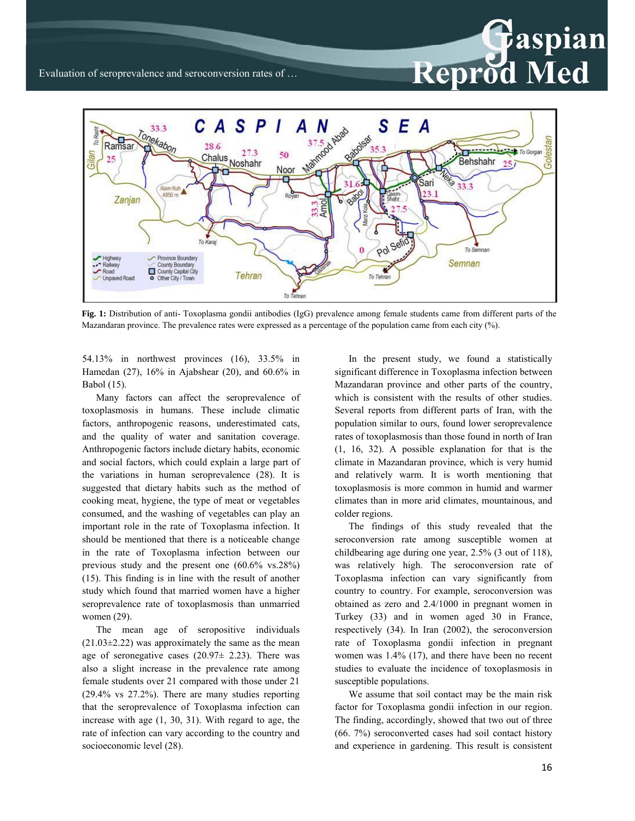

**Fig. 1:** Distribution of anti- Toxoplasma gondii antibodies (IgG) prevalence among female students came from different parts of the Mazandaran province. The prevalence rates were expressed as a percentage of the population came from each city (%).

54.13% in northwest provinces (16), 33.5% in Hamedan (27), 16% in Ajabshear (20), and 60.6% in Babol (15).

Many factors can affect the seroprevalence of toxoplasmosis in humans. These include climatic factors, anthropogenic reasons, underestimated cats, and the quality of water and sanitation coverage. Anthropogenic factors include dietary habits, economic and social factors, which could explain a large part of the variations in human seroprevalence (28). It is suggested that dietary habits such as the method of cooking meat, hygiene, the type of meat or vegetables consumed, and the washing of vegetables can play an important role in the rate of Toxoplasma infection. It should be mentioned that there is a noticeable change in the rate of Toxoplasma infection between our previous study and the present one (60.6% vs.28%) (15). This finding is in line with the result of another study which found that married women have a higher seroprevalence rate of toxoplasmosis than unmarried women (29).

The mean age of seropositive individuals  $(21.03\pm2.22)$  was approximately the same as the mean age of seronegative cases  $(20.97\pm 2.23)$ . There was also a slight increase in the prevalence rate among female students over 21 compared with those under 21 (29.4% vs 27.2%). There are many studies reporting that the seroprevalence of Toxoplasma infection can increase with age (1, 30, 31). With regard to age, the rate of infection can vary according to the country and socioeconomic level (28).

In the present study, we found a statistically significant difference in Toxoplasma infection between Mazandaran province and other parts of the country, which is consistent with the results of other studies. Several reports from different parts of Iran, with the population similar to ours, found lower seroprevalence rates of toxoplasmosis than those found in north of Iran (1, 16, 32). A possible explanation for that is the climate in Mazandaran province, which is very humid and relatively warm. It is worth mentioning that toxoplasmosis is more common in humid and warmer climates than in more arid climates, mountainous, and colder regions.

The findings of this study revealed that the seroconversion rate among susceptible women at childbearing age during one year, 2.5% (3 out of 118), was relatively high. The seroconversion rate of Toxoplasma infection can vary significantly from country to country. For example, seroconversion was obtained as zero and 2.4/1000 in pregnant women in Turkey (33) and in women aged 30 in France, respectively (34). In Iran (2002), the seroconversion rate of Toxoplasma gondii infection in pregnant women was 1.4% (17), and there have been no recent studies to evaluate the incidence of toxoplasmosis in susceptible populations.

We assume that soil contact may be the main risk factor for Toxoplasma gondii infection in our region. The finding, accordingly, showed that two out of three (66. 7%) seroconverted cases had soil contact history and experience in gardening. This result is consistent

Paspian

Reprod Med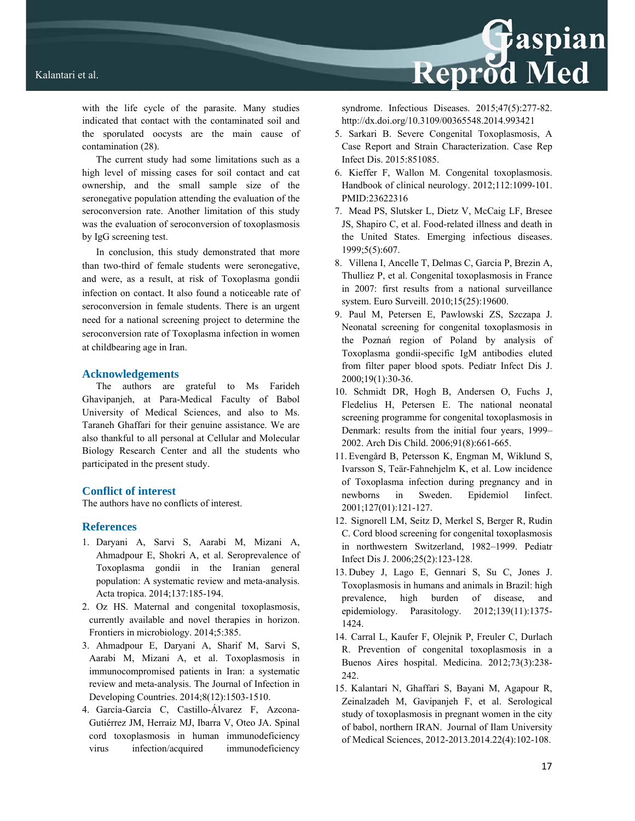

with the life cycle of the parasite. Many studies indicated that contact with the contaminated soil and the sporulated oocysts are the main cause of contamination (28).

The current study had some limitations such as a high level of missing cases for soil contact and cat ownership, and the small sample size of the seronegative population attending the evaluation of the seroconversion rate. Another limitation of this study was the evaluation of seroconversion of toxoplasmosis by IgG screening test.

In conclusion, this study demonstrated that more than two-third of female students were seronegative, and were, as a result, at risk of Toxoplasma gondii infection on contact. It also found a noticeable rate of seroconversion in female students. There is an urgent need for a national screening project to determine the seroconversion rate of Toxoplasma infection in women at childbearing age in Iran.

#### **Acknowledgements**

The authors are grateful to Ms Farideh Ghavipanjeh, at Para-Medical Faculty of Babol University of Medical Sciences, and also to Ms. Taraneh Ghaffari for their genuine assistance. We are also thankful to all personal at Cellular and Molecular Biology Research Center and all the students who participated in the present study.

## **Conflict of interest**

The authors have no conflicts of interest.

#### **References**

- 1. Daryani A, Sarvi S, Aarabi M, Mizani A, Ahmadpour E, Shokri A, et al. Seroprevalence of Toxoplasma gondii in the Iranian general population: A systematic review and meta-analysis. Acta tropica. 2014;137:185-194.
- 2. Oz HS. Maternal and congenital toxoplasmosis, currently available and novel therapies in horizon. Frontiers in microbiology. 2014;5:385.
- 3. Ahmadpour E, Daryani A, Sharif M, Sarvi S, Aarabi M, Mizani A, et al. Toxoplasmosis in immunocompromised patients in Iran: a systematic review and meta-analysis. The Journal of Infection in Developing Countries. 2014;8(12):1503-1510.
- 4. García-García C, Castillo-Álvarez F, Azcona-Gutiérrez JM, Herraiz MJ, Ibarra V, Oteo JA. Spinal cord toxoplasmosis in human immunodeficiency virus infection/acquired immunodeficiency

syndrome. Infectious Diseases. 2015;47(5):277-82. http://dx.doi.org/10.3109/00365548.2014.993421

Reprod Med

- 5. Sarkari B. Severe Congenital Toxoplasmosis, A Case Report and Strain Characterization. Case Rep Infect Dis. 2015:851085.
- 6. Kieffer F, Wallon M. Congenital toxoplasmosis. Handbook of clinical neurology. 2012;112:1099-101. PMID:23622316
- 7. Mead PS, Slutsker L, Dietz V, McCaig LF, Bresee JS, Shapiro C, et al. Food-related illness and death in the United States. Emerging infectious diseases. 1999;5(5):607.
- 8. Villena I, Ancelle T, Delmas C, Garcia P, Brezin A, Thulliez P, et al. Congenital toxoplasmosis in France in 2007: first results from a national surveillance system. Euro Surveill. 2010;15(25):19600.
- 9. Paul M, Petersen E, Pawlowski ZS, Szczapa J. Neonatal screening for congenital toxoplasmosis in the Poznań region of Poland by analysis of Toxoplasma gondii-specific IgM antibodies eluted from filter paper blood spots. Pediatr Infect Dis J. 2000;19(1):30-36.
- 10. Schmidt DR, Hogh B, Andersen O, Fuchs J, Fledelius H, Petersen E. The national neonatal screening programme for congenital toxoplasmosis in Denmark: results from the initial four years, 1999– 2002. Arch Dis Child. 2006;91(8):661-665.
- 11. Evengård B, Petersson K, Engman M, Wiklund S, Ivarsson S, Teär-Fahnehjelm K, et al. Low incidence of Toxoplasma infection during pregnancy and in newborns in Sweden. Epidemiol Iinfect. 2001;127(01):121-127.
- 12. Signorell LM, Seitz D, Merkel S, Berger R, Rudin C. Cord blood screening for congenital toxoplasmosis in northwestern Switzerland, 1982–1999. Pediatr Infect Dis J. 2006;25(2):123-128.
- 13. Dubey J, Lago E, Gennari S, Su C, Jones J. Toxoplasmosis in humans and animals in Brazil: high prevalence, high burden of disease, and epidemiology. Parasitology. 2012;139(11):1375- 1424.
- 14. Carral L, Kaufer F, Olejnik P, Freuler C, Durlach R. Prevention of congenital toxoplasmosis in a Buenos Aires hospital. Medicina. 2012;73(3):238- 242.
- 15. Kalantari N, Ghaffari S, Bayani M, Agapour R, Zeinalzadeh M, Gavipanjeh F, et al. Serological study of toxoplasmosis in pregnant women in the city of babol, northern IRAN. Journal of Ilam University of Medical Sciences, 2012-2013.2014.22(4):102-108.